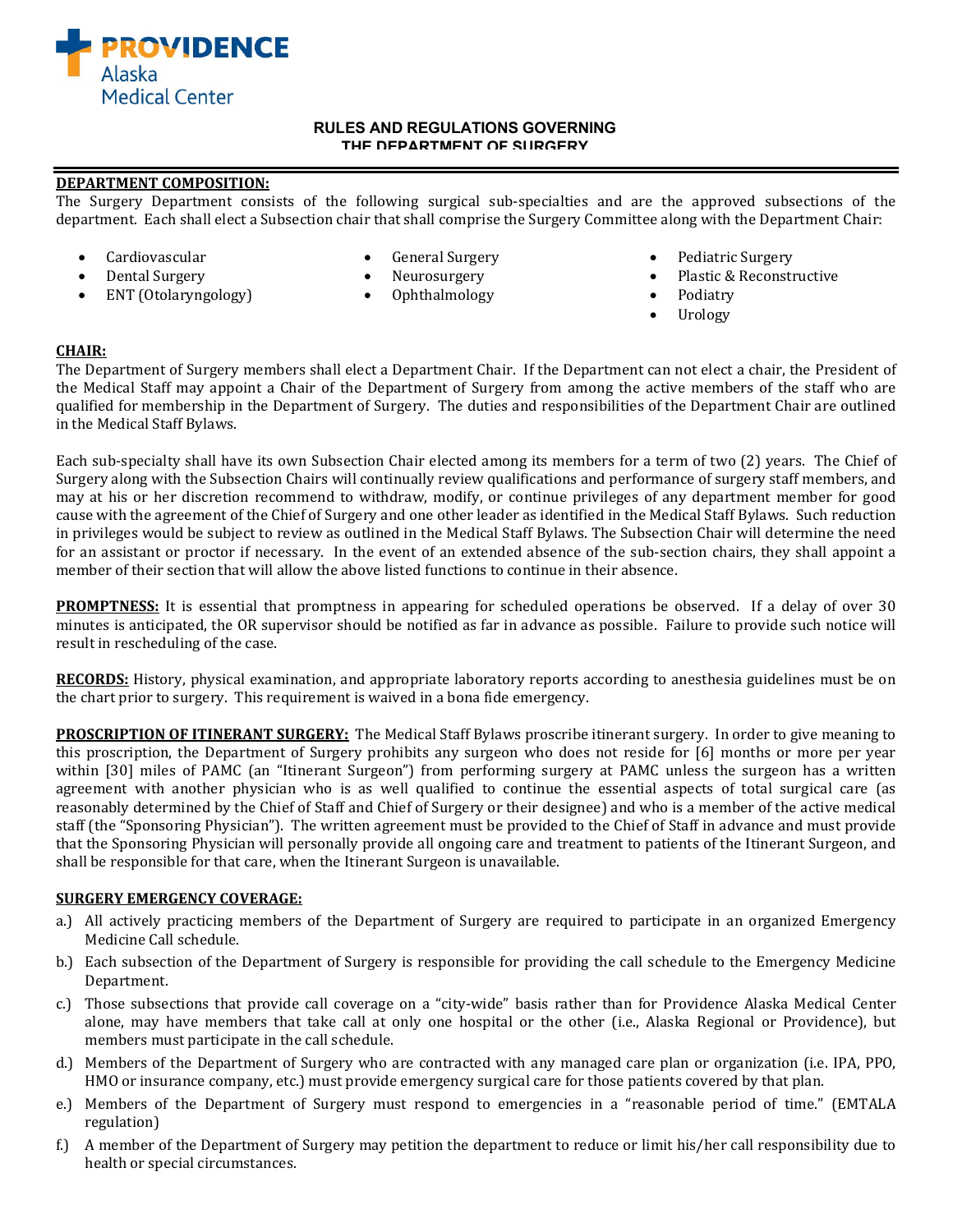

#### **RULES AND REGULATIONS GOVERNING THE DEPARTMENT OF SURGERY**

## **DEPARTMENT COMPOSITION:**

ENT (Otolaryngology)

The Surgery Department consists of the following surgical sub-specialties and are the approved subsections of the department. Each shall elect a Subsection chair that shall comprise the Surgery Committee along with the Department Chair:

- 
- 
- 
- Cardiovascular General Surgery Pediatric Surgery
	- Dental Surgery Neurosurgery Plastic & Reconstructive
		-
		- Urology

## **CHAIR:**

The Department of Surgery members shall elect a Department Chair. If the Department can not elect a chair, the President of the Medical Staff may appoint a Chair of the Department of Surgery from among the active members of the staff who are qualified for membership in the Department of Surgery. The duties and responsibilities of the Department Chair are outlined in the Medical Staff Bylaws.

Each sub-specialty shall have its own Subsection Chair elected among its members for a term of two (2) years. The Chief of Surgery along with the Subsection Chairs will continually review qualifications and performance of surgery staff members, and may at his or her discretion recommend to withdraw, modify, or continue privileges of any department member for good cause with the agreement of the Chief of Surgery and one other leader as identified in the Medical Staff Bylaws. Such reduction in privileges would be subject to review as outlined in the Medical Staff Bylaws. The Subsection Chair will determine the need for an assistant or proctor if necessary. In the event of an extended absence of the sub-section chairs, they shall appoint a member of their section that will allow the above listed functions to continue in their absence.

**PROMPTNESS:** It is essential that promptness in appearing for scheduled operations be observed. If a delay of over 30 minutes is anticipated, the OR supervisor should be notified as far in advance as possible. Failure to provide such notice will result in rescheduling of the case.

**RECORDS:** History, physical examination, and appropriate laboratory reports according to anesthesia guidelines must be on the chart prior to surgery. This requirement is waived in a bona fide emergency.

**PROSCRIPTION OF ITINERANT SURGERY:** The Medical Staff Bylaws proscribe itinerant surgery. In order to give meaning to this proscription, the Department of Surgery prohibits any surgeon who does not reside for [6] months or more per year within [30] miles of PAMC (an "Itinerant Surgeon") from performing surgery at PAMC unless the surgeon has a written agreement with another physician who is as well qualified to continue the essential aspects of total surgical care (as reasonably determined by the Chief of Staff and Chief of Surgery or their designee) and who is a member of the active medical staff (the "Sponsoring Physician"). The written agreement must be provided to the Chief of Staff in advance and must provide that the Sponsoring Physician will personally provide all ongoing care and treatment to patients of the Itinerant Surgeon, and shall be responsible for that care, when the Itinerant Surgeon is unavailable.

## **SURGERY EMERGENCY COVERAGE:**

- a.) All actively practicing members of the Department of Surgery are required to participate in an organized Emergency Medicine Call schedule.
- b.) Each subsection of the Department of Surgery is responsible for providing the call schedule to the Emergency Medicine Department.
- c.) Those subsections that provide call coverage on a "city-wide" basis rather than for Providence Alaska Medical Center alone, may have members that take call at only one hospital or the other (i.e., Alaska Regional or Providence), but members must participate in the call schedule.
- d.) Members of the Department of Surgery who are contracted with any managed care plan or organization (i.e. IPA, PPO, HMO or insurance company, etc.) must provide emergency surgical care for those patients covered by that plan.
- e.) Members of the Department of Surgery must respond to emergencies in a "reasonable period of time." (EMTALA regulation)
- f.) A member of the Department of Surgery may petition the department to reduce or limit his/her call responsibility due to health or special circumstances.